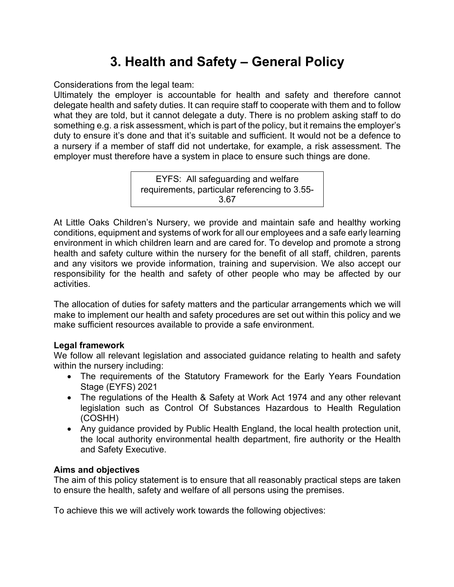# **3. Health and Safety – General Policy**

Considerations from the legal team:

Ultimately the employer is accountable for health and safety and therefore cannot delegate health and safety duties. It can require staff to cooperate with them and to follow what they are told, but it cannot delegate a duty. There is no problem asking staff to do something e.g. a risk assessment, which is part of the policy, but it remains the employer's duty to ensure it's done and that it's suitable and sufficient. It would not be a defence to a nursery if a member of staff did not undertake, for example, a risk assessment. The employer must therefore have a system in place to ensure such things are done.

> EYFS: All safeguarding and welfare requirements, particular referencing to 3.55- 3.67

At Little Oaks Children's Nursery, we provide and maintain safe and healthy working conditions, equipment and systems of work for all our employees and a safe early learning environment in which children learn and are cared for. To develop and promote a strong health and safety culture within the nursery for the benefit of all staff, children, parents and any visitors we provide information, training and supervision. We also accept our responsibility for the health and safety of other people who may be affected by our activities.

The allocation of duties for safety matters and the particular arrangements which we will make to implement our health and safety procedures are set out within this policy and we make sufficient resources available to provide a safe environment.

### **Legal framework**

We follow all relevant legislation and associated guidance relating to health and safety within the nursery including:

- The requirements of the Statutory Framework for the Early Years Foundation Stage (EYFS) 2021
- The regulations of the Health & Safety at Work Act 1974 and any other relevant legislation such as Control Of Substances Hazardous to Health Regulation (COSHH)
- Any guidance provided by Public Health England, the local health protection unit, the local authority environmental health department, fire authority or the Health and Safety Executive.

## **Aims and objectives**

The aim of this policy statement is to ensure that all reasonably practical steps are taken to ensure the health, safety and welfare of all persons using the premises.

To achieve this we will actively work towards the following objectives: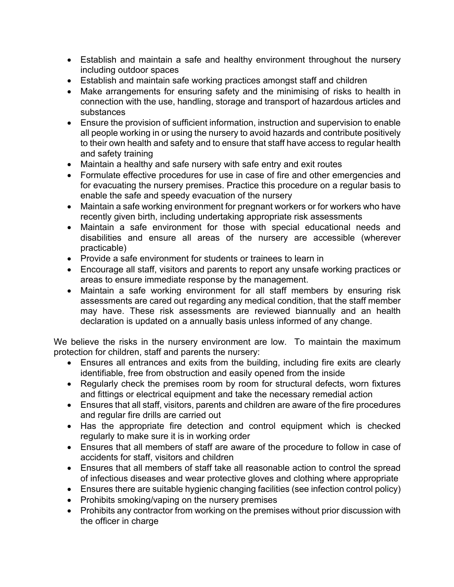- Establish and maintain a safe and healthy environment throughout the nursery including outdoor spaces
- Establish and maintain safe working practices amongst staff and children
- Make arrangements for ensuring safety and the minimising of risks to health in connection with the use, handling, storage and transport of hazardous articles and substances
- Ensure the provision of sufficient information, instruction and supervision to enable all people working in or using the nursery to avoid hazards and contribute positively to their own health and safety and to ensure that staff have access to regular health and safety training
- Maintain a healthy and safe nursery with safe entry and exit routes
- Formulate effective procedures for use in case of fire and other emergencies and for evacuating the nursery premises. Practice this procedure on a regular basis to enable the safe and speedy evacuation of the nursery
- Maintain a safe working environment for pregnant workers or for workers who have recently given birth, including undertaking appropriate risk assessments
- Maintain a safe environment for those with special educational needs and disabilities and ensure all areas of the nursery are accessible (wherever practicable)
- Provide a safe environment for students or trainees to learn in
- Encourage all staff, visitors and parents to report any unsafe working practices or areas to ensure immediate response by the management.
- Maintain a safe working environment for all staff members by ensuring risk assessments are cared out regarding any medical condition, that the staff member may have. These risk assessments are reviewed biannually and an health declaration is updated on a annually basis unless informed of any change.

We believe the risks in the nursery environment are low. To maintain the maximum protection for children, staff and parents the nursery:

- Ensures all entrances and exits from the building, including fire exits are clearly identifiable, free from obstruction and easily opened from the inside
- Regularly check the premises room by room for structural defects, worn fixtures and fittings or electrical equipment and take the necessary remedial action
- Ensures that all staff, visitors, parents and children are aware of the fire procedures and regular fire drills are carried out
- Has the appropriate fire detection and control equipment which is checked regularly to make sure it is in working order
- Ensures that all members of staff are aware of the procedure to follow in case of accidents for staff, visitors and children
- Ensures that all members of staff take all reasonable action to control the spread of infectious diseases and wear protective gloves and clothing where appropriate
- Ensures there are suitable hygienic changing facilities (see infection control policy)
- Prohibits smoking/vaping on the nursery premises
- Prohibits any contractor from working on the premises without prior discussion with the officer in charge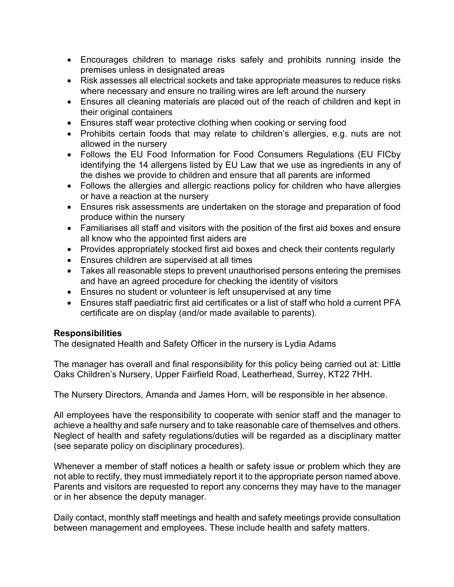- Encourages children to manage risks safely and prohibits running inside the premises unless in designated areas
- Risk assesses all electrical sockets and take appropriate measures to reduce risks where necessary and ensure no trailing wires are left around the nursery
- Ensures all cleaning materials are placed out of the reach of children and kept in their original containers
- Ensures staff wear protective clothing when cooking or serving food
- Prohibits certain foods that may relate to children's allergies, e.g. nuts are not allowed in the nursery
- Follows the EU Food Information for Food Consumers Regulations (EU FICby identifying the 14 allergens listed by EU Law that we use as ingredients in any of the dishes we provide to children and ensure that all parents are informed
- Follows the allergies and allergic reactions policy for children who have allergies or have a reaction at the nursery
- Ensures risk assessments are undertaken on the storage and preparation of food produce within the nursery
- Familiarises all staff and visitors with the position of the first aid boxes and ensure all know who the appointed first aiders are
- Provides appropriately stocked first aid boxes and check their contents regularly
- Ensures children are supervised at all times
- Takes all reasonable steps to prevent unauthorised persons entering the premises and have an agreed procedure for checking the identity of visitors
- Ensures no student or volunteer is left unsupervised at any time
- Ensures staff paediatric first aid certificates or a list of staff who hold a current PFA certificate are on display (and/or made available to parents).

### **Responsibilities**

The designated Health and Safety Officer in the nursery is Lydia Adams

The manager has overall and final responsibility for this policy being carried out at: Little Oaks Children's Nursery, Upper Fairfield Road, Leatherhead, Surrey, KT22 7HH.

The Nursery Directors, Amanda and James Horn, will be responsible in her absence.

All employees have the responsibility to cooperate with senior staff and the manager to achieve a healthy and safe nursery and to take reasonable care of themselves and others. Neglect of health and safety regulations/duties will be regarded as a disciplinary matter (see separate policy on disciplinary procedures).

Whenever a member of staff notices a health or safety issue or problem which they are not able to rectify, they must immediately report it to the appropriate person named above. Parents and visitors are requested to report any concerns they may have to the manager or in her absence the deputy manager.

Daily contact, monthly staff meetings and health and safety meetings provide consultation between management and employees. These include health and safety matters.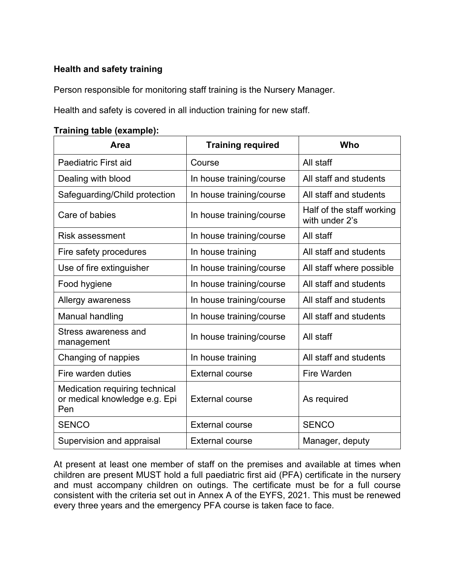### **Health and safety training**

Person responsible for monitoring staff training is the Nursery Manager.

Health and safety is covered in all induction training for new staff.

#### **Training table (example):**

| Area                                                                   | <b>Training required</b> | Who                                         |
|------------------------------------------------------------------------|--------------------------|---------------------------------------------|
| Paediatric First aid                                                   | Course                   | All staff                                   |
| Dealing with blood                                                     | In house training/course | All staff and students                      |
| Safeguarding/Child protection                                          | In house training/course | All staff and students                      |
| Care of babies                                                         | In house training/course | Half of the staff working<br>with under 2's |
| <b>Risk assessment</b>                                                 | In house training/course | All staff                                   |
| Fire safety procedures                                                 | In house training        | All staff and students                      |
| Use of fire extinguisher                                               | In house training/course | All staff where possible                    |
| Food hygiene                                                           | In house training/course | All staff and students                      |
| Allergy awareness                                                      | In house training/course | All staff and students                      |
| Manual handling                                                        | In house training/course | All staff and students                      |
| Stress awareness and<br>management                                     | In house training/course | All staff                                   |
| Changing of nappies                                                    | In house training        | All staff and students                      |
| Fire warden duties                                                     | <b>External course</b>   | <b>Fire Warden</b>                          |
| Medication requiring technical<br>or medical knowledge e.g. Epi<br>Pen | <b>External course</b>   | As required                                 |
| <b>SENCO</b>                                                           | <b>External course</b>   | <b>SENCO</b>                                |
| Supervision and appraisal                                              | <b>External course</b>   | Manager, deputy                             |

At present at least one member of staff on the premises and available at times when children are present MUST hold a full paediatric first aid (PFA) certificate in the nursery and must accompany children on outings. The certificate must be for a full course consistent with the criteria set out in Annex A of the EYFS, 2021. This must be renewed every three years and the emergency PFA course is taken face to face.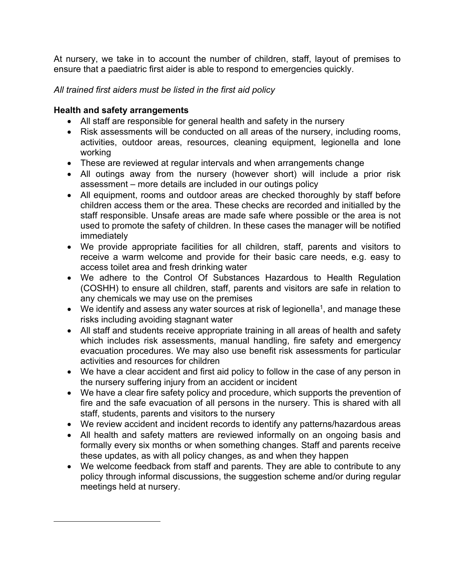At nursery, we take in to account the number of children, staff, layout of premises to ensure that a paediatric first aider is able to respond to emergencies quickly.

#### *All trained first aiders must be listed in the first aid policy*

#### **Health and safety arrangements**

- All staff are responsible for general health and safety in the nursery
- Risk assessments will be conducted on all areas of the nursery, including rooms, activities, outdoor areas, resources, cleaning equipment, legionella and lone working
- These are reviewed at regular intervals and when arrangements change
- All outings away from the nursery (however short) will include a prior risk assessment – more details are included in our outings policy
- All equipment, rooms and outdoor areas are checked thoroughly by staff before children access them or the area. These checks are recorded and initialled by the staff responsible. Unsafe areas are made safe where possible or the area is not used to promote the safety of children. In these cases the manager will be notified immediately
- We provide appropriate facilities for all children, staff, parents and visitors to receive a warm welcome and provide for their basic care needs, e.g. easy to access toilet area and fresh drinking water
- We adhere to the Control Of Substances Hazardous to Health Regulation (COSHH) to ensure all children, staff, parents and visitors are safe in relation to any chemicals we may use on the premises
- We identify and assess any water sources at risk of legionella<sup>1</sup>, and manage these risks including avoiding stagnant water
- All staff and students receive appropriate training in all areas of health and safety which includes risk assessments, manual handling, fire safety and emergency evacuation procedures. We may also use benefit risk assessments for particular activities and resources for children
- We have a clear accident and first aid policy to follow in the case of any person in the nursery suffering injury from an accident or incident
- We have a clear fire safety policy and procedure, which supports the prevention of fire and the safe evacuation of all persons in the nursery. This is shared with all staff, students, parents and visitors to the nursery
- We review accident and incident records to identify any patterns/hazardous areas
- All health and safety matters are reviewed informally on an ongoing basis and formally every six months or when something changes. Staff and parents receive these updates, as with all policy changes, as and when they happen
- We welcome feedback from staff and parents. They are able to contribute to any policy through informal discussions, the suggestion scheme and/or during regular meetings held at nursery.